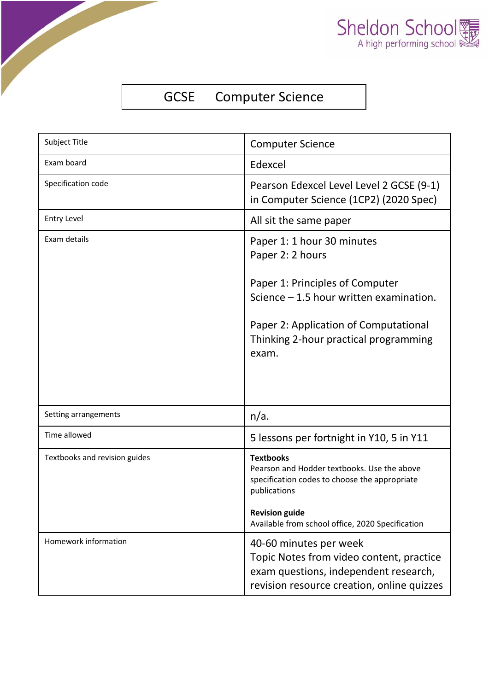

## GCSE Computer Science

| Subject Title                 | <b>Computer Science</b>                                                                                                                                                                                                  |  |
|-------------------------------|--------------------------------------------------------------------------------------------------------------------------------------------------------------------------------------------------------------------------|--|
| <b>Fxam board</b>             | Edexcel                                                                                                                                                                                                                  |  |
| Specification code            | Pearson Edexcel Level Level 2 GCSE (9-1)<br>in Computer Science (1CP2) (2020 Spec)                                                                                                                                       |  |
| <b>Entry Level</b>            | All sit the same paper                                                                                                                                                                                                   |  |
| Exam details                  | Paper 1: 1 hour 30 minutes<br>Paper 2: 2 hours<br>Paper 1: Principles of Computer<br>Science $-1.5$ hour written examination.<br>Paper 2: Application of Computational<br>Thinking 2-hour practical programming<br>exam. |  |
| Setting arrangements          | n/a.                                                                                                                                                                                                                     |  |
| Time allowed                  | 5 lessons per fortnight in Y10, 5 in Y11                                                                                                                                                                                 |  |
| Textbooks and revision guides | <b>Textbooks</b><br>Pearson and Hodder textbooks. Use the above<br>specification codes to choose the appropriate<br>publications<br><b>Revision guide</b><br>Available from school office, 2020 Specification            |  |
| Homework information          | 40-60 minutes per week<br>Topic Notes from video content, practice<br>exam questions, independent research,<br>revision resource creation, online quizzes                                                                |  |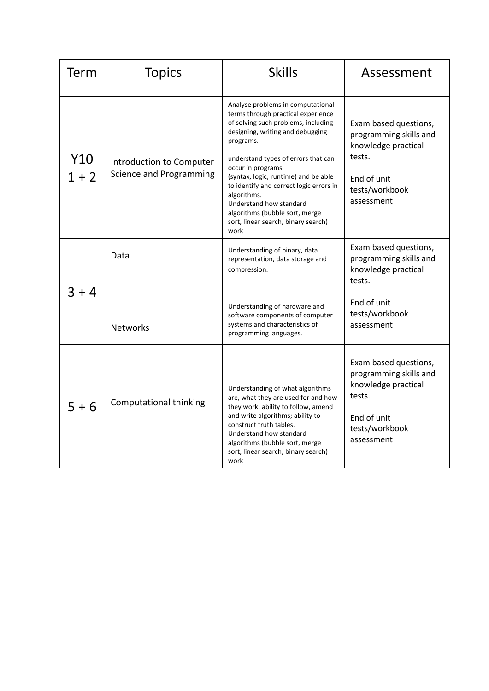| Term           | <b>Topics</b>                                       | <b>Skills</b>                                                                                                                                                                                                                                                                                                                                                                                                                             | Assessment                                                                                                                      |
|----------------|-----------------------------------------------------|-------------------------------------------------------------------------------------------------------------------------------------------------------------------------------------------------------------------------------------------------------------------------------------------------------------------------------------------------------------------------------------------------------------------------------------------|---------------------------------------------------------------------------------------------------------------------------------|
| Y10<br>$1 + 2$ | Introduction to Computer<br>Science and Programming | Analyse problems in computational<br>terms through practical experience<br>of solving such problems, including<br>designing, writing and debugging<br>programs.<br>understand types of errors that can<br>occur in programs<br>(syntax, logic, runtime) and be able<br>to identify and correct logic errors in<br>algorithms.<br>Understand how standard<br>algorithms (bubble sort, merge<br>sort, linear search, binary search)<br>work | Exam based questions,<br>programming skills and<br>knowledge practical<br>tests.<br>End of unit<br>tests/workbook<br>assessment |
| $3 + 4$        | Data                                                | Understanding of binary, data<br>representation, data storage and<br>compression.                                                                                                                                                                                                                                                                                                                                                         | Exam based questions,<br>programming skills and<br>knowledge practical<br>tests.                                                |
|                | <b>Networks</b>                                     | Understanding of hardware and<br>software components of computer<br>systems and characteristics of<br>programming languages.                                                                                                                                                                                                                                                                                                              | End of unit<br>tests/workbook<br>assessment                                                                                     |
| $5 + 6$        | Computational thinking                              | Understanding of what algorithms<br>are, what they are used for and how<br>they work; ability to follow, amend<br>and write algorithms; ability to<br>construct truth tables.<br>Understand how standard<br>algorithms (bubble sort, merge<br>sort, linear search, binary search)<br>work                                                                                                                                                 | Exam based questions,<br>programming skills and<br>knowledge practical<br>tests.<br>End of unit<br>tests/workbook<br>assessment |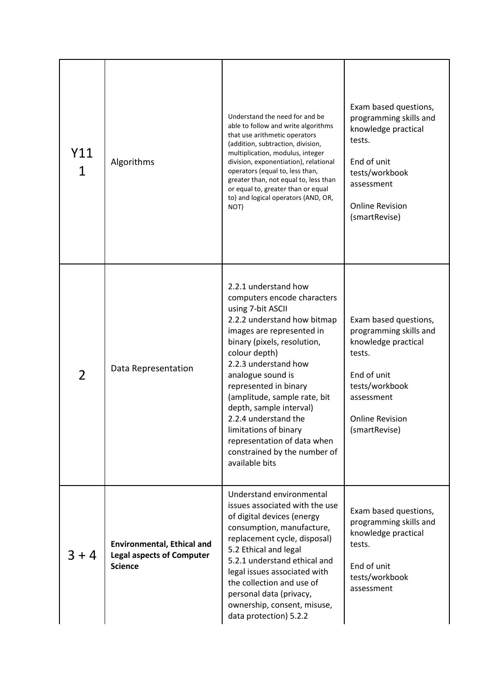| Y11<br>1 | Algorithms                                                                              | Understand the need for and be<br>able to follow and write algorithms<br>that use arithmetic operators<br>(addition, subtraction, division,<br>multiplication, modulus, integer<br>division, exponentiation), relational<br>operators (equal to, less than,<br>greater than, not equal to, less than<br>or equal to, greater than or equal<br>to) and logical operators (AND, OR,<br>NOT)                                                               | Exam based questions,<br>programming skills and<br>knowledge practical<br>tests.<br>End of unit<br>tests/workbook<br>assessment<br><b>Online Revision</b><br>(smartRevise) |
|----------|-----------------------------------------------------------------------------------------|---------------------------------------------------------------------------------------------------------------------------------------------------------------------------------------------------------------------------------------------------------------------------------------------------------------------------------------------------------------------------------------------------------------------------------------------------------|----------------------------------------------------------------------------------------------------------------------------------------------------------------------------|
| 2        | Data Representation                                                                     | 2.2.1 understand how<br>computers encode characters<br>using 7-bit ASCII<br>2.2.2 understand how bitmap<br>images are represented in<br>binary (pixels, resolution,<br>colour depth)<br>2.2.3 understand how<br>analogue sound is<br>represented in binary<br>(amplitude, sample rate, bit<br>depth, sample interval)<br>2.2.4 understand the<br>limitations of binary<br>representation of data when<br>constrained by the number of<br>available bits | Exam based questions,<br>programming skills and<br>knowledge practical<br>tests.<br>End of unit<br>tests/workbook<br>assessment<br><b>Online Revision</b><br>(smartRevise) |
| $3 + 4$  | <b>Environmental, Ethical and</b><br><b>Legal aspects of Computer</b><br><b>Science</b> | Understand environmental<br>issues associated with the use<br>of digital devices (energy<br>consumption, manufacture,<br>replacement cycle, disposal)<br>5.2 Ethical and legal<br>5.2.1 understand ethical and<br>legal issues associated with<br>the collection and use of<br>personal data (privacy,<br>ownership, consent, misuse,<br>data protection) 5.2.2                                                                                         | Exam based questions,<br>programming skills and<br>knowledge practical<br>tests.<br>End of unit<br>tests/workbook<br>assessment                                            |